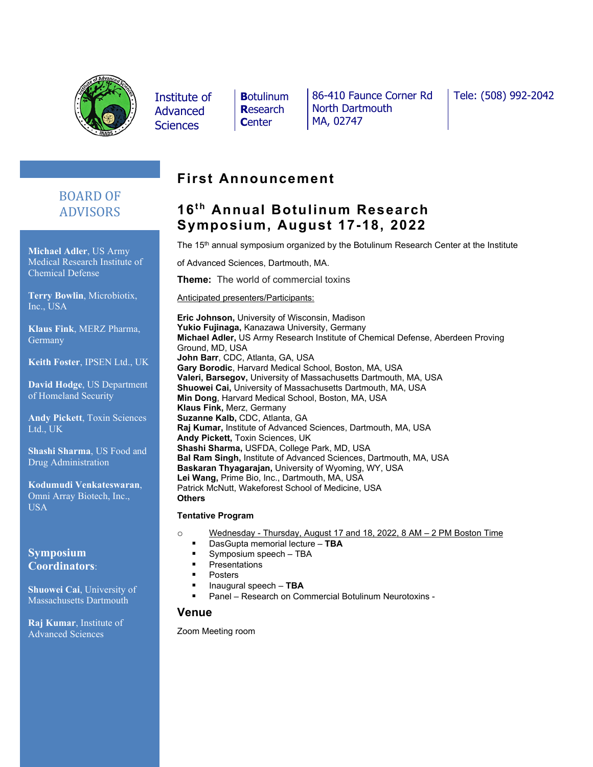

Institute of Advanced **Sciences** 

**B**otulinum **R**esearch **C**enter

86-410 Faunce Corner Rd North Dartmouth MA, 02747

Tele: (508) 992-2042

# BOARD OF ADVISORS

**Michael Adler**, US Army Medical Research Institute of Chemical Defense

**Terry Bowlin**, Microbiotix, Inc., USA

**Klaus Fink**, MERZ Pharma, **Germany** 

**Keith Foster**, IPSEN Ltd., UK

**David Hodge**, US Department of Homeland Security

**Andy Pickett**, Toxin Sciences Ltd., UK

**Shashi Sharma**, US Food and Drug Administration

**Kodumudi Venkateswaran**, Omni Array Biotech, Inc., USA

### **Symposium Coordinators**:

**Shuowei Cai**, University of Massachusetts Dartmouth

**Raj Kumar**, Institute of Advanced Sciences

# **First Announcement**

# 16<sup>th</sup> Annual Botulinum Research **Symposium, August 17-18, 2022**

The 15<sup>th</sup> annual symposium organized by the Botulinum Research Center at the Institute

of Advanced Sciences, Dartmouth, MA.

**Theme:** The world of commercial toxins

Anticipated presenters/Participants:

**Eric Johnson,** University of Wisconsin, Madison **Yukio Fujinaga,** Kanazawa University, Germany **Michael Adler,** US Army Research Institute of Chemical Defense, Aberdeen Proving Ground, MD, USA **John Barr**, CDC, Atlanta, GA, USA **Gary Borodic**, Harvard Medical School, Boston, MA, USA **Valeri, Barsegov,** University of Massachusetts Dartmouth, MA, USA **Shuowei Cai,** University of Massachusetts Dartmouth, MA, USA **Min Dong**, Harvard Medical School, Boston, MA, USA **Klaus Fink,** Merz, Germany **Suzanne Kalb,** CDC, Atlanta, GA **Raj Kumar,** Institute of Advanced Sciences, Dartmouth, MA, USA **Andy Pickett,** Toxin Sciences, UK **Shashi Sharma,** USFDA, College Park, MD, USA **Bal Ram Singh,** Institute of Advanced Sciences, Dartmouth, MA, USA **Baskaran Thyagarajan,** University of Wyoming, WY, USA **Lei Wang,** Prime Bio, Inc., Dartmouth, MA, USA Patrick McNutt, Wakeforest School of Medicine, USA **Others**

#### **Tentative Program**

- o Wednesday Thursday, August 17 and 18, 2022, 8 AM 2 PM Boston Time
	- DasGupta memorial lecture **TBA**
	- Symposium speech TBA
	- **Presentations**
	- Posters
	- Inaugural speech **TBA**
	- Panel Research on Commercial Botulinum Neurotoxins -

#### **Venue**

Zoom Meeting room